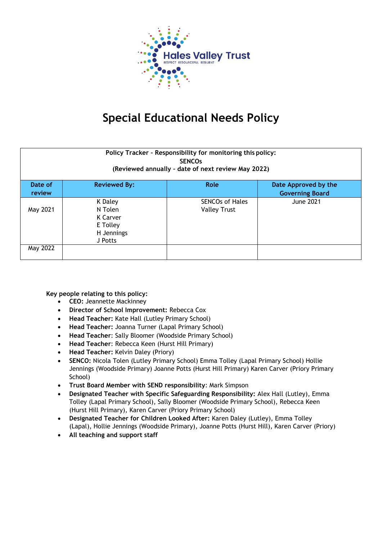

# **Special Educational Needs Policy**

| Policy Tracker - Responsibility for monitoring this policy:<br><b>SENCOS</b><br>(Reviewed annually - date of next review May 2022) |                     |                        |                        |
|------------------------------------------------------------------------------------------------------------------------------------|---------------------|------------------------|------------------------|
| Date of                                                                                                                            | <b>Reviewed By:</b> | Role                   | Date Approved by the   |
| review                                                                                                                             |                     |                        | <b>Governing Board</b> |
|                                                                                                                                    | K Daley             | <b>SENCOs of Hales</b> | <b>June 2021</b>       |
| May 2021                                                                                                                           | N Tolen             | <b>Valley Trust</b>    |                        |
|                                                                                                                                    | K Carver            |                        |                        |
|                                                                                                                                    | E Tolley            |                        |                        |
|                                                                                                                                    | H Jennings          |                        |                        |
|                                                                                                                                    | J Potts             |                        |                        |
| May 2022                                                                                                                           |                     |                        |                        |
|                                                                                                                                    |                     |                        |                        |

**Key people relating to this policy:**

- **CEO:** Jeannette Mackinney
- **Director of School Improvement:** Rebecca Cox
- **Head Teacher:** Kate Hall (Lutley Primary School)
- **Head Teacher:** Joanna Turner (Lapal Primary School)
- **Head Teacher**: Sally Bloomer (Woodside Primary School)
- **Head Teacher**: Rebecca Keen (Hurst Hill Primary)
- **Head Teacher:** Kelvin Daley (Priory)
- **SENCO:** Nicola Tolen (Lutley Primary School) Emma Tolley (Lapal Primary School) Hollie Jennings (Woodside Primary) Joanne Potts (Hurst Hill Primary) Karen Carver (Priory Primary School)
- **Trust Board Member with SEND responsibility**: Mark Simpson
- **Designated Teacher with Specific Safeguarding Responsibility:** Alex Hall (Lutley), Emma Tolley (Lapal Primary School), Sally Bloomer (Woodside Primary School), Rebecca Keen (Hurst Hill Primary), Karen Carver (Priory Primary School)
- **Designated Teacher for Children Looked After:** Karen Daley (Lutley), Emma Tolley (Lapal), Hollie Jennings (Woodside Primary), Joanne Potts (Hurst Hill), Karen Carver (Priory)
- **All teaching and support staff**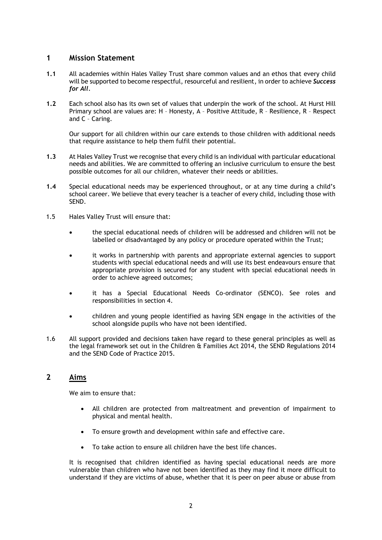## **1 Mission Statement**

- **1.1** All academies within Hales Valley Trust share common values and an ethos that every child will be supported to become respectful, resourceful and resilient, in order to achieve *Success for All.*
- **1.2** Each school also has its own set of values that underpin the work of the school. At Hurst Hill Primary school are values are: H – Honesty, A – Positive Attitude, R – Resilience, R – Respect and C – Caring.

Our support for all children within our care extends to those children with additional needs that require assistance to help them fulfil their potential.

- **1.3** At Hales Valley Trust we recognise that every child is an individual with particular educational needs and abilities. We are committed to offering an inclusive curriculum to ensure the best possible outcomes for all our children, whatever their needs or abilities.
- **1.4** Special educational needs may be experienced throughout, or at any time during a child's school career. We believe that every teacher is a teacher of every child, including those with SEND.
- 1.5 Hales Valley Trust will ensure that:
	- the special educational needs of children will be addressed and children will not be labelled or disadvantaged by any policy or procedure operated within the Trust;
	- it works in partnership with parents and appropriate external agencies to support students with special educational needs and will use its best endeavours ensure that appropriate provision is secured for any student with special educational needs in order to achieve agreed outcomes;
	- it has a Special Educational Needs Co-ordinator (SENCO). See roles and responsibilities in section 4.
	- children and young people identified as having SEN engage in the activities of the school alongside pupils who have not been identified.
- 1.6 All support provided and decisions taken have regard to these general principles as well as the legal framework set out in the Children & Families Act 2014, the SEND Regulations 2014 and the SEND Code of Practice 2015.

## **2 Aims**

We aim to ensure that:

- All children are protected from maltreatment and prevention of impairment to physical and mental health.
- To ensure growth and development within safe and effective care.
- To take action to ensure all children have the best life chances.

It is recognised that children identified as having special educational needs are more vulnerable than children who have not been identified as they may find it more difficult to understand if they are victims of abuse, whether that it is peer on peer abuse or abuse from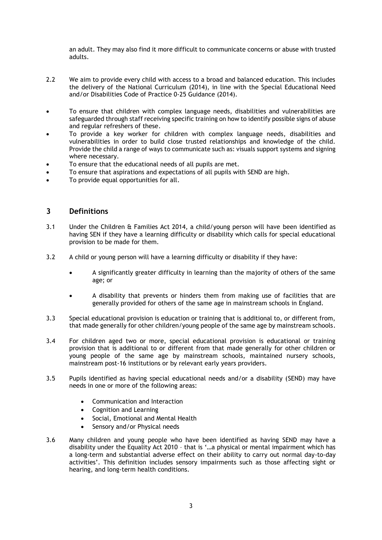an adult. They may also find it more difficult to communicate concerns or abuse with trusted adults.

- 2.2 We aim to provide every child with access to a broad and balanced education. This includes the delivery of the National Curriculum (2014), in line with the Special Educational Need and/or Disabilities Code of Practice 0-25 Guidance (2014).
- To ensure that children with complex language needs, disabilities and vulnerabilities are safeguarded through staff receiving specific training on how to identify possible signs of abuse and regular refreshers of these.
- To provide a key worker for children with complex language needs, disabilities and vulnerabilities in order to build close trusted relationships and knowledge of the child. Provide the child a range of ways to communicate such as: visuals support systems and signing where necessary.
- To ensure that the educational needs of all pupils are met.
- To ensure that aspirations and expectations of all pupils with SEND are high.
- To provide equal opportunities for all.

# **3 Definitions**

- 3.1 Under the Children & Families Act 2014, a child/young person will have been identified as having SEN if they have a learning difficulty or disability which calls for special educational provision to be made for them.
- 3.2 A child or young person will have a learning difficulty or disability if they have:
	- A significantly greater difficulty in learning than the majority of others of the same age; or
	- A disability that prevents or hinders them from making use of facilities that are generally provided for others of the same age in mainstream schools in England.
- 3.3 Special educational provision is education or training that is additional to, or different from, that made generally for other children/young people of the same age by mainstream schools.
- 3.4 For children aged two or more, special educational provision is educational or training provision that is additional to or different from that made generally for other children or young people of the same age by mainstream schools, maintained nursery schools, mainstream post-16 institutions or by relevant early years providers.
- 3.5 Pupils identified as having special educational needs and/or a disability (SEND) may have needs in one or more of the following areas:
	- Communication and Interaction
	- Cognition and Learning
	- Social, Emotional and Mental Health
	- Sensory and/or Physical needs
- 3.6 Many children and young people who have been identified as having SEND may have a disability under the Equality Act 2010 – that is '…a physical or mental impairment which has a long-term and substantial adverse effect on their ability to carry out normal day-to-day activities'. This definition includes sensory impairments such as those affecting sight or hearing, and long-term health conditions.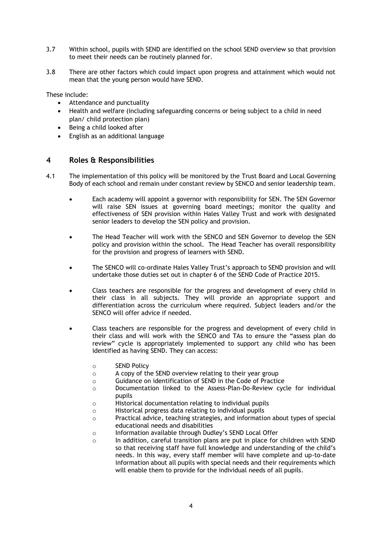- 3.7 Within school, pupils with SEND are identified on the school SEND overview so that provision to meet their needs can be routinely planned for.
- 3.8 There are other factors which could impact upon progress and attainment which would not mean that the young person would have SEND.

These include:

- Attendance and punctuality
- Health and welfare (including safeguarding concerns or being subject to a child in need plan/ child protection plan)
- Being a child looked after
- English as an additional language

# **4 Roles & Responsibilities**

- 4.1 The implementation of this policy will be monitored by the Trust Board and Local Governing Body of each school and remain under constant review by SENCO and senior leadership team.
	- Each academy will appoint a governor with responsibility for SEN. The SEN Governor will raise SEN issues at governing board meetings; monitor the quality and effectiveness of SEN provision within Hales Valley Trust and work with designated senior leaders to develop the SEN policy and provision.
	- The Head Teacher will work with the SENCO and SEN Governor to develop the SEN policy and provision within the school. The Head Teacher has overall responsibility for the provision and progress of learners with SEND.
	- The SENCO will co-ordinate Hales Valley Trust's approach to SEND provision and will undertake those duties set out in chapter 6 of the SEND Code of Practice 2015.
	- Class teachers are responsible for the progress and development of every child in their class in all subjects. They will provide an appropriate support and differentiation across the curriculum where required. Subject leaders and/or the SENCO will offer advice if needed.
	- Class teachers are responsible for the progress and development of every child in their class and will work with the SENCO and TAs to ensure the "assess plan do review" cycle is appropriately implemented to support any child who has been identified as having SEND. They can access:
		- o SEND Policy
		- o A copy of the SEND overview relating to their year group
		- o Guidance on identification of SEND in the Code of Practice
		- o Documentation linked to the Assess-Plan-Do-Review cycle for individual pupils
		- o Historical documentation relating to individual pupils
		- o Historical progress data relating to individual pupils
		- o Practical advice, teaching strategies, and information about types of special educational needs and disabilities
		- o Information available through Dudley's SEND Local Offer
		- $\circ$  In addition, careful transition plans are put in place for children with SEND so that receiving staff have full knowledge and understanding of the child's needs. In this way, every staff member will have complete and up-to-date information about all pupils with special needs and their requirements which will enable them to provide for the individual needs of all pupils.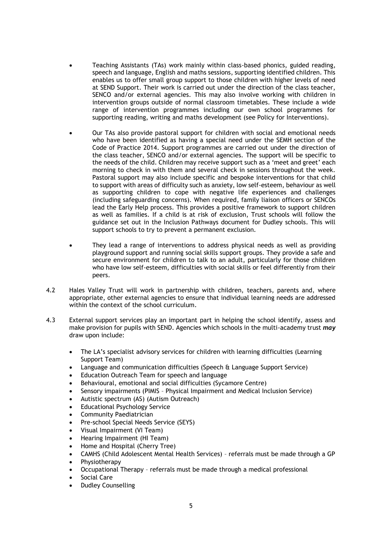- Teaching Assistants (TAs) work mainly within class-based phonics, guided reading, speech and language, English and maths sessions, supporting identified children. This enables us to offer small group support to those children with higher levels of need at SEND Support. Their work is carried out under the direction of the class teacher, SENCO and/or external agencies. This may also involve working with children in intervention groups outside of normal classroom timetables. These include a wide range of intervention programmes including our own school programmes for supporting reading, writing and maths development (see Policy for Interventions).
- Our TAs also provide pastoral support for children with social and emotional needs who have been identified as having a special need under the SEMH section of the Code of Practice 2014. Support programmes are carried out under the direction of the class teacher, SENCO and/or external agencies. The support will be specific to the needs of the child. Children may receive support such as a 'meet and greet' each morning to check in with them and several check in sessions throughout the week. Pastoral support may also include specific and bespoke interventions for that child to support with areas of difficulty such as anxiety, low self-esteem, behaviour as well as supporting children to cope with negative life experiences and challenges (including safeguarding concerns). When required, family liaison officers or SENCOs lead the Early Help process. This provides a positive framework to support children as well as families. If a child is at risk of exclusion, Trust schools will follow the guidance set out in the Inclusion Pathways document for Dudley schools. This will support schools to try to prevent a permanent exclusion.
- They lead a range of interventions to address physical needs as well as providing playground support and running social skills support groups. They provide a safe and secure environment for children to talk to an adult, particularly for those children who have low self-esteem, difficulties with social skills or feel differently from their peers.
- 4.2 Hales Valley Trust will work in partnership with children, teachers, parents and, where appropriate, other external agencies to ensure that individual learning needs are addressed within the context of the school curriculum.
- 4.3 External support services play an important part in helping the school identify, assess and make provision for pupils with SEND. Agencies which schools in the multi-academy trust *may* draw upon include:
	- The LA's specialist advisory services for children with learning difficulties (Learning Support Team)
	- Language and communication difficulties (Speech & Language Support Service)
	- Education Outreach Team for speech and language
	- Behavioural, emotional and social difficulties (Sycamore Centre)
	- Sensory impairments (PIMIS Physical Impairment and Medical Inclusion Service)
	- Autistic spectrum (AS) (Autism Outreach)
	- Educational Psychology Service
	- Community Paediatrician
	- Pre-school Special Needs Service (SEYS)
	- Visual Impairment (VI Team)
	- Hearing Impairment (HI Team)
	- Home and Hospital (Cherry Tree)
	- CAMHS (Child Adolescent Mental Health Services) referrals must be made through a GP
	- Physiotherapy
	- Occupational Therapy referrals must be made through a medical professional
	- Social Care
	- Dudley Counselling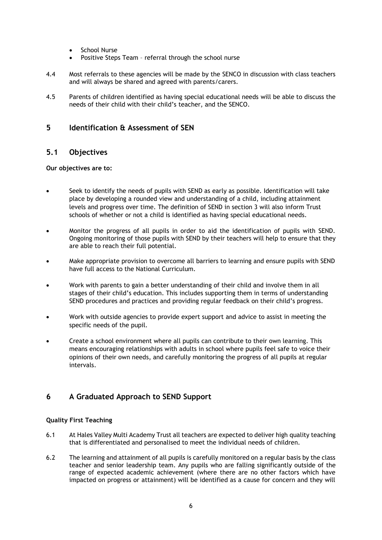- School Nurse
- Positive Steps Team referral through the school nurse
- 4.4 Most referrals to these agencies will be made by the SENCO in discussion with class teachers and will always be shared and agreed with parents/carers.
- 4.5 Parents of children identified as having special educational needs will be able to discuss the needs of their child with their child's teacher, and the SENCO.

# **5 Identification & Assessment of SEN**

## **5.1 Objectives**

#### **Our objectives are to:**

- Seek to identify the needs of pupils with SEND as early as possible. Identification will take place by developing a rounded view and understanding of a child, including attainment levels and progress over time. The definition of SEND in section 3 will also inform Trust schools of whether or not a child is identified as having special educational needs.
- Monitor the progress of all pupils in order to aid the identification of pupils with SEND. Ongoing monitoring of those pupils with SEND by their teachers will help to ensure that they are able to reach their full potential.
- Make appropriate provision to overcome all barriers to learning and ensure pupils with SEND have full access to the National Curriculum.
- Work with parents to gain a better understanding of their child and involve them in all stages of their child's education. This includes supporting them in terms of understanding SEND procedures and practices and providing regular feedback on their child's progress.
- Work with outside agencies to provide expert support and advice to assist in meeting the specific needs of the pupil.
- Create a school environment where all pupils can contribute to their own learning. This means encouraging relationships with adults in school where pupils feel safe to voice their opinions of their own needs, and carefully monitoring the progress of all pupils at regular intervals.

# **6 A Graduated Approach to SEND Support**

## **Quality First Teaching**

- 6.1 At Hales Valley Multi Academy Trust all teachers are expected to deliver high quality teaching that is differentiated and personalised to meet the individual needs of children.
- 6.2 The learning and attainment of all pupils is carefully monitored on a regular basis by the class teacher and senior leadership team. Any pupils who are falling significantly outside of the range of expected academic achievement (where there are no other factors which have impacted on progress or attainment) will be identified as a cause for concern and they will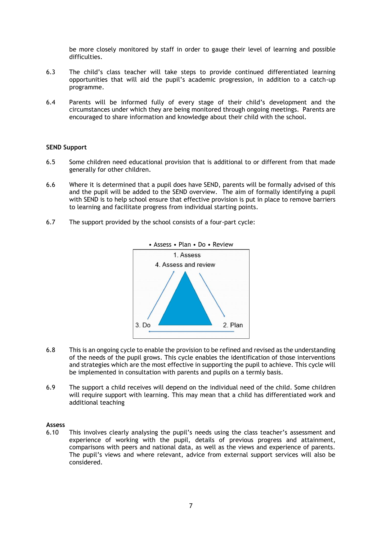be more closely monitored by staff in order to gauge their level of learning and possible difficulties.

- 6.3 The child's class teacher will take steps to provide continued differentiated learning opportunities that will aid the pupil's academic progression, in addition to a catch-up programme.
- 6.4 Parents will be informed fully of every stage of their child's development and the circumstances under which they are being monitored through ongoing meetings. Parents are encouraged to share information and knowledge about their child with the school.

#### **SEND Support**

- 6.5 Some children need educational provision that is additional to or different from that made generally for other children.
- 6.6 Where it is determined that a pupil does have SEND, parents will be formally advised of this and the pupil will be added to the SEND overview. The aim of formally identifying a pupil with SEND is to help school ensure that effective provision is put in place to remove barriers to learning and facilitate progress from individual starting points.
- 6.7 The support provided by the school consists of a four-part cycle:



- 6.8 This is an ongoing cycle to enable the provision to be refined and revised as the understanding of the needs of the pupil grows. This cycle enables the identification of those interventions and strategies which are the most effective in supporting the pupil to achieve. This cycle will be implemented in consultation with parents and pupils on a termly basis.
- 6.9 The support a child receives will depend on the individual need of the child. Some children will require support with learning. This may mean that a child has differentiated work and additional teaching

#### **Assess**

6.10 This involves clearly analysing the pupil's needs using the class teacher's assessment and experience of working with the pupil, details of previous progress and attainment, comparisons with peers and national data, as well as the views and experience of parents. The pupil's views and where relevant, advice from external support services will also be considered.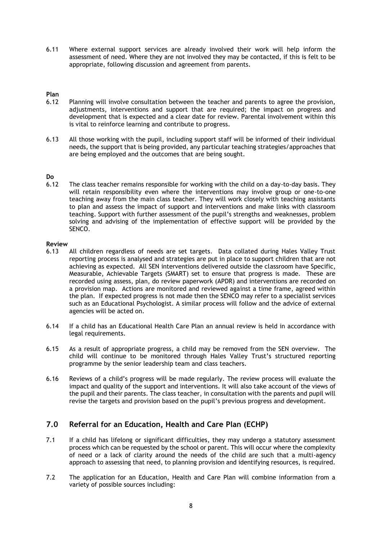6.11 Where external support services are already involved their work will help inform the assessment of need. Where they are not involved they may be contacted, if this is felt to be appropriate, following discussion and agreement from parents.

#### **Plan**

- 6.12 Planning will involve consultation between the teacher and parents to agree the provision, adjustments, interventions and support that are required; the impact on progress and development that is expected and a clear date for review. Parental involvement within this is vital to reinforce learning and contribute to progress.
- 6.13 All those working with the pupil, including support staff will be informed of their individual needs, the support that is being provided, any particular teaching strategies/approaches that are being employed and the outcomes that are being sought.

## **Do**

6.12 The class teacher remains responsible for working with the child on a day-to-day basis. They will retain responsibility even where the interventions may involve group or one-to-one teaching away from the main class teacher. They will work closely with teaching assistants to plan and assess the impact of support and interventions and make links with classroom teaching. Support with further assessment of the pupil's strengths and weaknesses, problem solving and advising of the implementation of effective support will be provided by the SENCO.

#### **Review**

- 6.13 All children regardless of needs are set targets. Data collated during Hales Valley Trust reporting process is analysed and strategies are put in place to support children that are not achieving as expected. All SEN interventions delivered outside the classroom have Specific, Measurable, Achievable Targets (SMART) set to ensure that progress is made. These are recorded using assess, plan, do review paperwork (APDR) and interventions are recorded on a provision map. Actions are monitored and reviewed against a time frame, agreed within the plan. If expected progress is not made then the SENCO may refer to a specialist services such as an Educational Psychologist. A similar process will follow and the advice of external agencies will be acted on.
- 6.14 If a child has an Educational Health Care Plan an annual review is held in accordance with legal requirements.
- 6.15 As a result of appropriate progress, a child may be removed from the SEN overview. The child will continue to be monitored through Hales Valley Trust's structured reporting programme by the senior leadership team and class teachers.
- 6.16 Reviews of a child's progress will be made regularly. The review process will evaluate the impact and quality of the support and interventions. It will also take account of the views of the pupil and their parents. The class teacher, in consultation with the parents and pupil will revise the targets and provision based on the pupil's previous progress and development.

# **7.0 Referral for an Education, Health and Care Plan (ECHP)**

- 7.1 If a child has lifelong or significant difficulties, they may undergo a statutory assessment process which can be requested by the school or parent. This will occur where the complexity of need or a lack of clarity around the needs of the child are such that a multi-agency approach to assessing that need, to planning provision and identifying resources, is required.
- 7.2 The application for an Education, Health and Care Plan will combine information from a variety of possible sources including: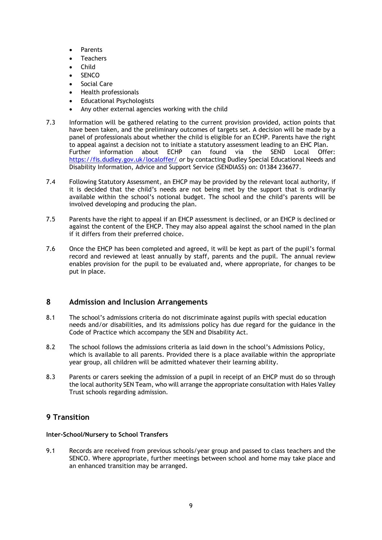- Parents
- **Teachers**
- Child
- SENCO
- Social Care
- Health professionals
- Educational Psychologists
- Any other external agencies working with the child
- 7.3 Information will be gathered relating to the current provision provided, action points that have been taken, and the preliminary outcomes of targets set. A decision will be made by a panel of professionals about whether the child is eligible for an ECHP. Parents have the right to appeal against a decision not to initiate a statutory assessment leading to an EHC Plan.<br>Further information about ECHP can found via the SEND Local Offe Further information about ECHP can found via the SEND Local Offer: <https://fis.dudley.gov.uk/localoffer/> *or* by contacting Dudley Special Educational Needs and Disability Information, Advice and Support Service (SENDIASS) on: 01384 236677.
- 7.4 Following Statutory Assessment, an EHCP may be provided by the relevant local authority, if it is decided that the child's needs are not being met by the support that is ordinarily available within the school's notional budget. The school and the child's parents will be involved developing and producing the plan.
- 7.5 Parents have the right to appeal if an EHCP assessment is declined, or an EHCP is declined or against the content of the EHCP. They may also appeal against the school named in the plan if it differs from their preferred choice.
- 7.6 Once the EHCP has been completed and agreed, it will be kept as part of the pupil's formal record and reviewed at least annually by staff, parents and the pupil. The annual review enables provision for the pupil to be evaluated and, where appropriate, for changes to be put in place.

# **8 Admission and Inclusion Arrangements**

- 8.1 The school's admissions criteria do not discriminate against pupils with special education needs and/or disabilities, and its admissions policy has due regard for the guidance in the Code of Practice which accompany the SEN and Disability Act.
- 8.2 The school follows the admissions criteria as laid down in the school's Admissions Policy, which is available to all parents. Provided there is a place available within the appropriate year group, all children will be admitted whatever their learning ability.
- 8.3 Parents or carers seeking the admission of a pupil in receipt of an EHCP must do so through the local authority SEN Team, who will arrange the appropriate consultation with Hales Valley Trust schools regarding admission.

# **9 Transition**

#### **Inter-School/Nursery to School Transfers**

9.1 Records are received from previous schools/year group and passed to class teachers and the SENCO. Where appropriate, further meetings between school and home may take place and an enhanced transition may be arranged.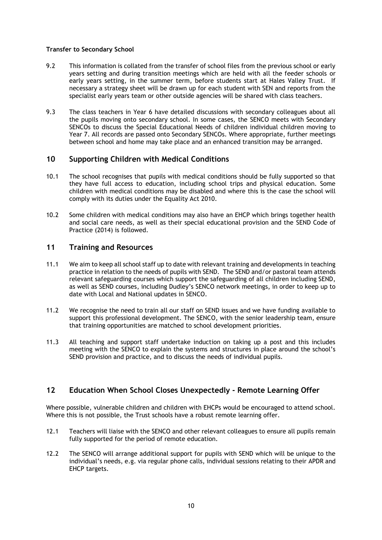## **Transfer to Secondary School**

- 9.2 This information is collated from the transfer of school files from the previous school or early years setting and during transition meetings which are held with all the feeder schools or early years setting, in the summer term, before students start at Hales Valley Trust. If necessary a strategy sheet will be drawn up for each student with SEN and reports from the specialist early years team or other outside agencies will be shared with class teachers.
- 9.3 The class teachers in Year 6 have detailed discussions with secondary colleagues about all the pupils moving onto secondary school. In some cases, the SENCO meets with Secondary SENCOs to discuss the Special Educational Needs of children individual children moving to Year 7. All records are passed onto Secondary SENCOs. Where appropriate, further meetings between school and home may take place and an enhanced transition may be arranged.

## **10 Supporting Children with Medical Conditions**

- 10.1 The school recognises that pupils with medical conditions should be fully supported so that they have full access to education, including school trips and physical education. Some children with medical conditions may be disabled and where this is the case the school will comply with its duties under the Equality Act 2010.
- 10.2 Some children with medical conditions may also have an EHCP which brings together health and social care needs, as well as their special educational provision and the SEND Code of Practice (2014) is followed.

## **11 Training and Resources**

- 11.1 We aim to keep all school staff up to date with relevant training and developments in teaching practice in relation to the needs of pupils with SEND. The SEND and/or pastoral team attends relevant safeguarding courses which support the safeguarding of all children including SEND, as well as SEND courses, including Dudley's SENCO network meetings, in order to keep up to date with Local and National updates in SENCO.
- 11.2 We recognise the need to train all our staff on SEND issues and we have funding available to support this professional development. The SENCO, with the senior leadership team, ensure that training opportunities are matched to school development priorities.
- 11.3 All teaching and support staff undertake induction on taking up a post and this includes meeting with the SENCO to explain the systems and structures in place around the school's SEND provision and practice, and to discuss the needs of individual pupils.

# **12 Education When School Closes Unexpectedly - Remote Learning Offer**

Where possible, vulnerable children and children with EHCPs would be encouraged to attend school. Where this is not possible, the Trust schools have a robust remote learning offer.

- 12.1 Teachers will liaise with the SENCO and other relevant colleagues to ensure all pupils remain fully supported for the period of remote education.
- 12.2 The SENCO will arrange additional support for pupils with SEND which will be unique to the individual's needs, e.g. via regular phone calls, individual sessions relating to their APDR and EHCP targets.